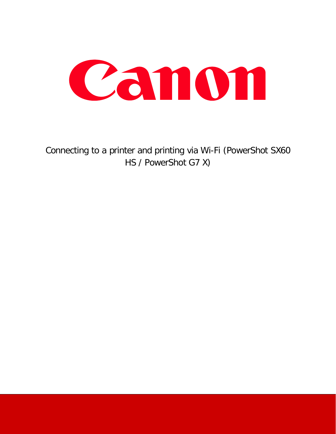

Connecting to a printer and printing via Wi-Fi (PowerShot SX60 HS / PowerShot G7 X)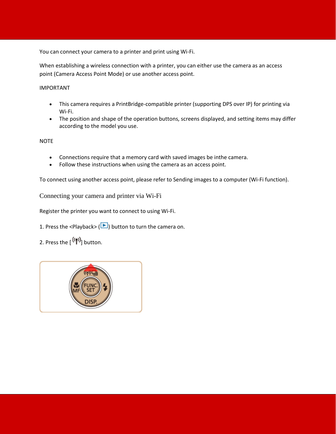You can connect your camera to a printer and print using Wi-Fi.

When establishing a wireless connection with a printer, you can either use the camera as an access point (Camera Access Point Mode) or use another access point.

IMPORTANT

- This camera requires a PrintBridge-compatible printer (supporting DPS over IP) for printing via Wi-Fi.
- The position and shape of the operation buttons, screens displayed, and setting items may differ according to the model you use.

**NOTE** 

- Connections require that a memory card with saved images be inthe camera.
- Follow these instructions when using the camera as an access point.

To connect using another access point, please refer to Sending images to a computer (Wi-Fi function).

Connecting your camera and printer via Wi-Fi

Register the printer you want to connect to using Wi-Fi.

1. Press the <Playback> ( $\Box$ ) button to turn the camera on.

2. Press the  $[$   $($ ( $\uparrow$ <sup>)</sup> $)$ <sub>)</sub> button.

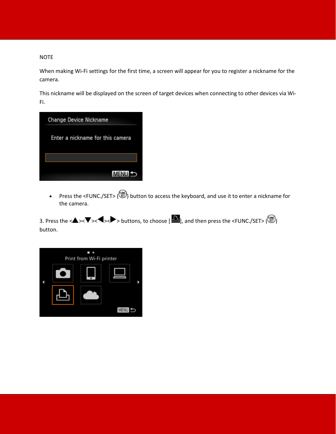## NOTE

When making Wi-Fi settings for the first time, a screen will appear for you to register a nickname for the camera.

This nickname will be displayed on the screen of target devices when connecting to other devices via Wi-Fi.



• Press the <FUNC./SET> ( $\bigcirc$ ) button to access the keyboard, and use it to enter a nickname for the camera.

3. Press the < $\blacktriangle$ >< $\blacktriangledown$ < $\blacktriangle$  < $\blacktriangledown$  buttons, to choose [ $\Box$ ], and then press the <FUNC./SET> $(\odotledast)$ button.

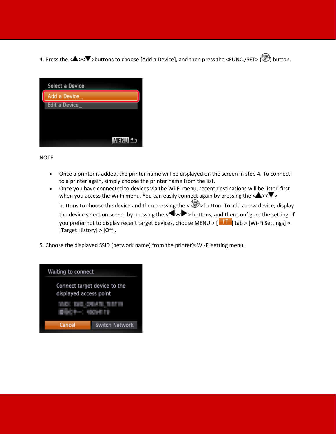4. Press the <<>  $\blacktriangleright$  >buttons to choose [Add a Device], and then press the <FUNC./SET> ( $\bigcirc$ ) button.

|  | Select a Device |              |
|--|-----------------|--------------|
|  | Add a Device    |              |
|  | Edit a Device   |              |
|  |                 |              |
|  |                 |              |
|  |                 |              |
|  |                 | <b>MENII</b> |

NOTE

- Once a printer is added, the printer name will be displayed on the screen in step 4. To connect to a printer again, simply choose the printer name from the list.
- Once you have connected to devices via the Wi-Fi menu, recent destinations will be listed first when you access the Wi-Fi menu. You can easily connect again by pressing the  $\langle \blacktriangle \rangle$ buttons to choose the device and then pressing the  $\langle \mathcal{L} \rangle$  button. To add a new device, display the device selection screen by pressing the  $\langle \bullet \rangle$   $\rightarrow$  buttons, and then configure the setting. If you prefer not to display recent target devices, choose MENU >  $[\blacksquare \blacksquare]$  tab > [Wi-Fi Settings] > [Target History] > [Off].
- 5. Choose the displayed SSID (network name) from the printer's Wi-Fi setting menu.

| Waiting to connect                                     |                       |  |  |  |  |
|--------------------------------------------------------|-----------------------|--|--|--|--|
| Connect target device to the<br>displayed access point |                       |  |  |  |  |
|                                                        |                       |  |  |  |  |
| Cancel                                                 | <b>Switch Network</b> |  |  |  |  |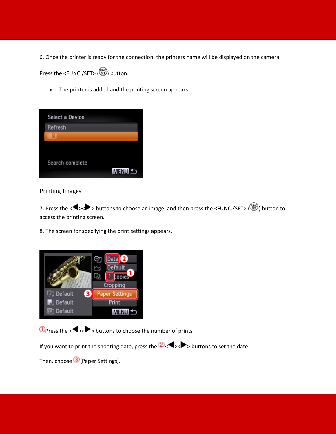6. Once the printer is ready for the connection, the printers name will be displayed on the camera.

Press the <FUNC./SET> (4) button.

• The printer is added and the printing screen appears.

| Select a Device |              |
|-----------------|--------------|
| Refresh         |              |
|                 |              |
|                 |              |
| Search complete | <b>MENUS</b> |

Printing Images

7. Press the < >< > buttons to choose an image, and then press the <FUNC./SET> ( ) button to access the printing screen.

8. The screen for specifying the print settings appears.



 $\Phi$ Press the < $\blacktriangleright$  > buttons to choose the number of prints.

If you want to print the shooting date, press the  $2\langle \blacklozenge \rangle$  buttons to set the date.

Then, choose 3 [Paper Settings].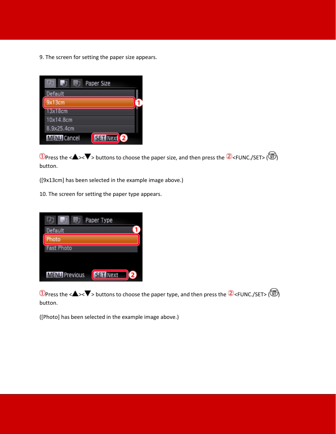9. The screen for setting the paper size appears.



**1** Press the < $\blacktriangle$ >< $\blacktriangledown$  buttons to choose the paper size, and then press the  $\blacktriangle$  <FUNC./SET> ( $\binom{m}{2}$ ) button.

([9x13cm] has been selected in the example image above.)

10. The screen for setting the paper type appears.

| Paper Type           |
|----------------------|
|                      |
|                      |
|                      |
|                      |
|                      |
| <b>SET Next</b><br>2 |
|                      |

**1** Press the < $\blacktriangle$ >< $\blacktriangledown$  buttons to choose the paper type, and then press the  $\blacktriangle$  <FUNC./SET> ( $\binom{m}{2}$ ) button.

([Photo] has been selected in the example image above.)